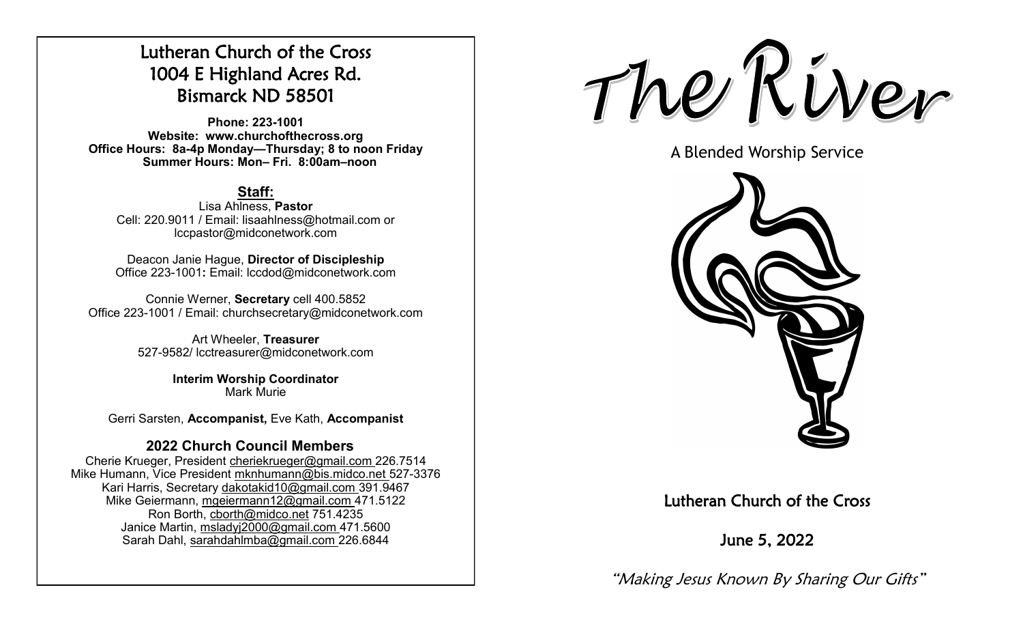# Lutheran Church of the Cross 1004 E Highland Acres Rd. Bismarck ND 58501

**Phone: 223-1001 Website: www.churchofthecross.org Office Hours: 8a-4p Monday—Thursday; 8 to noon Friday Summer Hours: Mon– Fri. 8:00am–noon**

## **Staff:**

Lisa Ahlness, **Pastor** Cell: 220.9011 / Email: lisaahlness@hotmail.com or lccpastor@midconetwork.com

Deacon Janie Hague, **Director of Discipleship** Office 223-1001**:** Email: lccdod@midconetwork.com

Connie Werner, **Secretary** cell 400.5852 Office 223-1001 / Email: churchsecretary@midconetwork.com

> Art Wheeler, **Treasurer** 527-9582/ lcctreasurer@midconetwork.com

> > **Interim Worship Coordinator**  Mark Murie

Gerri Sarsten, **Accompanist,** Eve Kath, **Accompanist**

### **2022 Church Council Members**

Cherie Krueger, President cheriekrueger@gmail.com 226.7514 Mike Humann, Vice President mknhumann@bis.midco.net 527-3376 Kari Harris, Secretary dakotakid10@gmail.com 391.9467 Mike Geiermann, mgeiermann12@gmail.com 471.5122 Ron Borth, [cborth@midco.net](mailto:cborth@midco.net) 751.4235 Janice Martin, msladyj2000@gmail.com 471.5600 Sarah Dahl, sarahdahlmba@gmail.com 226.6844

The River

A Blended Worship Service



## Lutheran Church of the Cross

June 5, 2022

"Making Jesus Known By Sharing Our Gifts"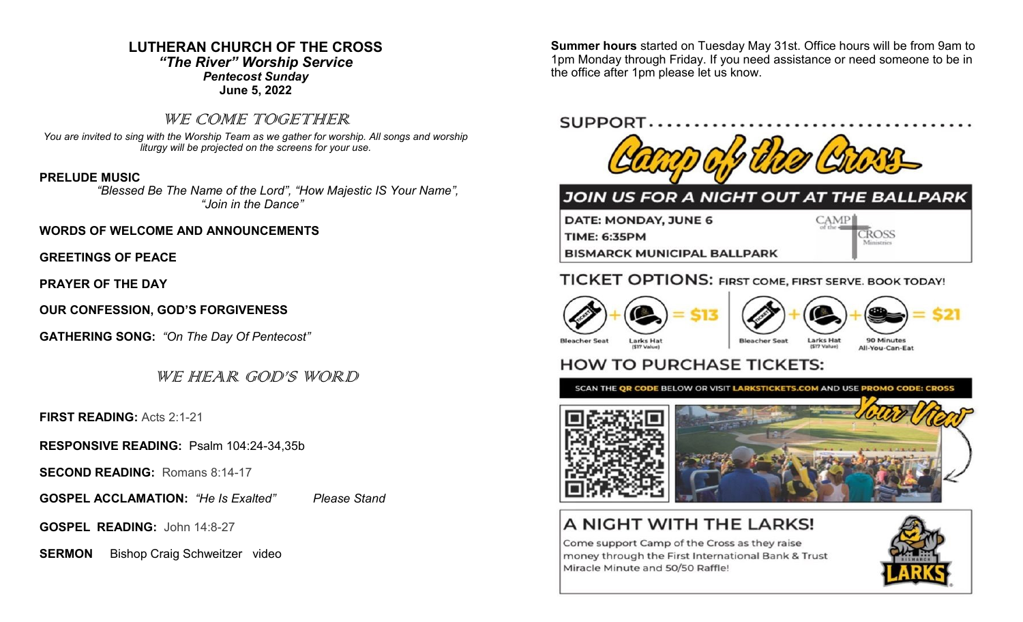## **LUTHERAN CHURCH OF THE CROSS** *"The River" Worship Service*

*Pentecost Sunday* **June 5, 2022**

### WE COME TOGETHER

*You are invited to sing with the Worship Team as we gather for worship. All songs and worship liturgy will be projected on the screens for your use.* 

#### **PRELUDE MUSIC**

 *"Blessed Be The Name of the Lord", "How Majestic IS Your Name", "Join in the Dance"*

**WORDS OF WELCOME AND ANNOUNCEMENTS**

**GREETINGS OF PEACE**

**PRAYER OF THE DAY**

**OUR CONFESSION, GOD'S FORGIVENESS**

**GATHERING SONG:** *"On The Day Of Pentecost"*

WE HEAR GOD'S WORD

**FIRST READING:** Acts 2:1-21

**RESPONSIVE READING:** Psalm 104:24-34,35b

**SECOND READING:** Romans 8:14-17

**GOSPEL ACCLAMATION:** *"He Is Exalted" Please Stand*

**GOSPEL READING:** John 14:8-27

**SERMON** Bishop Craig Schweitzer video

**Summer hours** started on Tuesday May 31st. Office hours will be from 9am to 1pm Monday through Friday. If you need assistance or need someone to be in the office after 1pm please let us know.

## SUPPORT.



## JOIN US FOR A NIGHT OUT AT THE BALLPARK

DATE: MONDAY, JUNE 6 CAMP **CROSS TIME: 6:35PM BISMARCK MUNICIPAL BALLPARK** 

## TICKET OPTIONS: FIRST COME, FIRST SERVE. BOOK TODAY!







**Bleacher Seat** 

90 Minutes All-You-Can-Eat

## **HOW TO PURCHASE TICKETS:**

SCAN THE QR CODE BELOW OR VISIT LARKSTICKETS.COM AND USE PROMO CODE: CROSS



# A NIGHT WITH THE LARKS!

Come support Camp of the Cross as they raise money through the First International Bank & Trust Miracle Minute and 50/50 Raffle!



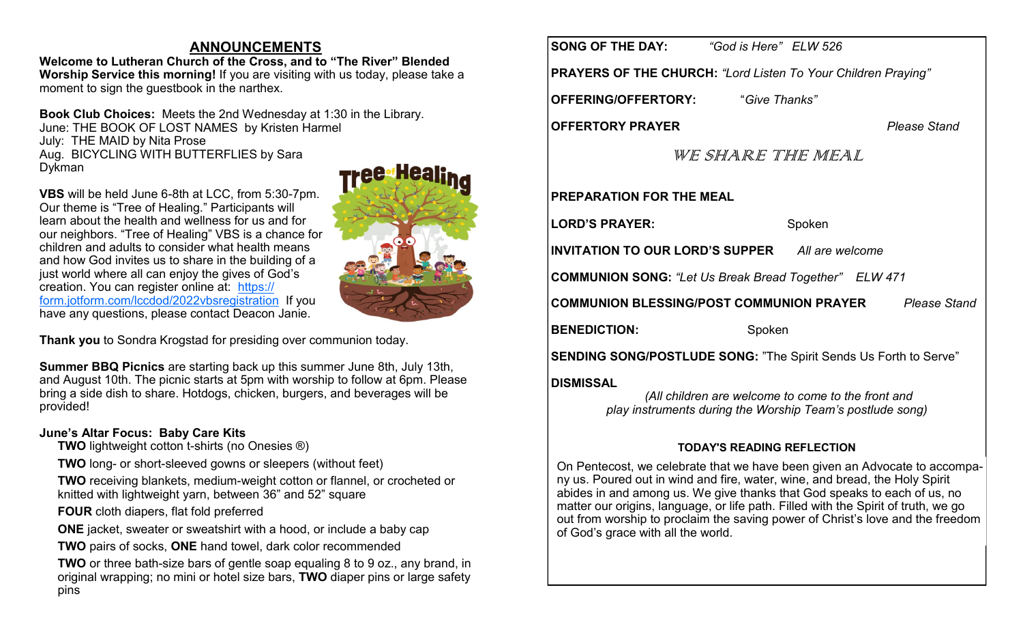## **ANNOUNCEMENTS**

**Welcome to Lutheran Church of the Cross, and to "The River" Blended Worship Service this morning!** If you are visiting with us today, please take a moment to sign the guestbook in the narthex.

**Book Club Choices:** Meets the 2nd Wednesday at 1:30 in the Library. June: THE BOOK OF LOST NAMES by Kristen Harmel July: THE MAID by Nita Prose Aug. BICYCLING WITH BUTTERFLIES by Sara Dykman

**VBS** will be held June 6-8th at LCC, from 5:30-7pm. Our theme is "Tree of Healing." Participants will learn about the health and wellness for us and for our neighbors. "Tree of Healing" VBS is a chance for children and adults to consider what health means and how God invites us to share in the building of a just world where all can enjoy the gives of God's creation. You can register online at: [https://](https://form.jotform.com/lccdod/2022vbsregistration) [form.jotform.com/lccdod/2022vbsregistration](https://form.jotform.com/lccdod/2022vbsregistration) If you have any questions, please contact Deacon Janie.

**Thank you** to Sondra Krogstad for presiding over communion today.

**Summer BBQ Picnics** are starting back up this summer June 8th, July 13th, and August 10th. The picnic starts at 5pm with worship to follow at 6pm. Please bring a side dish to share. Hotdogs, chicken, burgers, and beverages will be provided!

#### **June's Altar Focus: Baby Care Kits**

- **TWO** lightweight cotton t-shirts (no Onesies ®)
- **TWO** long- or short-sleeved gowns or sleepers (without feet)
- **TWO** receiving blankets, medium-weight cotton or flannel, or crocheted or knitted with lightweight yarn, between 36" and 52" square
- **FOUR** cloth diapers, flat fold preferred
- **ONE** jacket, sweater or sweatshirt with a hood, or include a baby cap
- **TWO** pairs of socks, **ONE** hand towel, dark color recommended
- **TWO** or three bath-size bars of gentle soap equaling 8 to 9 oz., any brand, in original wrapping; no mini or hotel size bars, **TWO** diaper pins or large safety pins



**PRAYERS OF THE CHURCH:** *"Lord Listen To Your Children Praying"* 

**OFFERING/OFFERTORY:** "*Give Thanks"*

**OFFERTORY PRAYER** *Please Stand*

### WE SHARE THE MEAL

**PREPARATION FOR THE MEAL**

**LORD'S PRAYER:** Spoken

**INVITATION TO OUR LORD'S SUPPER** *All are welcome*

**COMMUNION SONG:** *"Let Us Break Bread Together" ELW 471*

**COMMUNION BLESSING/POST COMMUNION PRAYER** *Please Stand*

**BENEDICTION:** Spoken

**SENDING SONG/POSTLUDE SONG:** "The Spirit Sends Us Forth to Serve"

#### **DISMISSAL**

*(All children are welcome to come to the front and play instruments during the Worship Team's postlude song)*

#### **TODAY'S READING REFLECTION**

On Pentecost, we celebrate that we have been given an Advocate to accompany us. Poured out in wind and fire, water, wine, and bread, the Holy Spirit abides in and among us. We give thanks that God speaks to each of us, no matter our origins, language, or life path. Filled with the Spirit of truth, we go out from worship to proclaim the saving power of Christ's love and the freedom of God's grace with all the world.